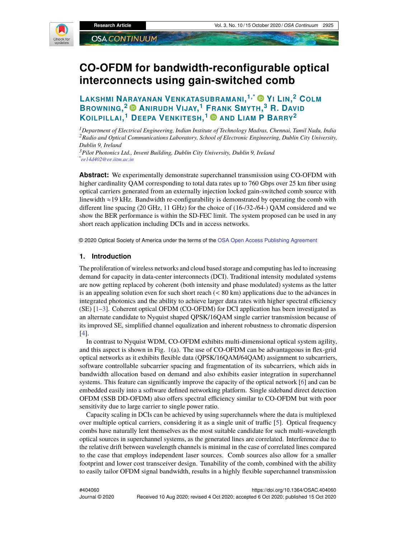

# **CO-OFDM for bandwidth-reconfigurable optical interconnects using gain-switched comb**

**LAKSHMI NARAYANAN VENKATASUBRAMANI, 1,\* Y<sup>I</sup> LIN, <sup>2</sup> COLM BROWNING, <sup>2</sup> ANIRUDH VIJAY, <sup>1</sup> FRANK SMYTH, <sup>3</sup> R. DAVID KOILPILLAI, <sup>1</sup> DEEPA VENKITESH, <sup>1</sup> AND LIAM P BARRY<sup>2</sup>**

*<sup>1</sup>Department of Electrical Engineering, Indian Institute of Technology Madras, Chennai, Tamil Nadu, India <sup>2</sup>Radio and Optical Communications Laboratory, School of Electronic Engineering, Dublin City University, Dublin 9, Ireland*

*<sup>3</sup>Pilot Photonics Ltd., Invent Building, Dublin City University, Dublin 9, Ireland \* ee14d402@ee.iitm.ac.in*

**Abstract:** We experimentally demonstrate superchannel transmission using CO-OFDM with higher cardinality QAM corresponding to total data rates up to 760 Gbps over 25 km fiber using optical carriers generated from an externally injection locked gain-switched comb source with linewidth ≈19 kHz. Bandwidth re-configurability is demonstrated by operating the comb with different line spacing (20 GHz, 11 GHz) for the choice of (16-/32-/64-) QAM considered and we show the BER performance is within the SD-FEC limit. The system proposed can be used in any short reach application including DCIs and in access networks.

© 2020 Optical Society of America under the terms of the OSA Open Access Publishing Agreement

#### **1. Introduction**

The proliferation of wireless networks and cloud based storage and computing has led to increasing demand for capacity in data-center interconnects (DCI). Traditional intensity modulated systems are now getting replaced by coherent (both intensity and phase modulated) systems as the latter is an appealing solution even for such short reach (< 80 km) applications due to the advances in integrated photonics and the ability to achieve larger data rates with higher spectral efficiency (SE) [1–3]. Coherent optical OFDM (CO-OFDM) for DCI application has been investigated as an alternate candidate to Nyquist shaped QPSK/16QAM single carrier transmission because of its improved SE, simplified channel equalization and inherent robustness to chromatic dispersion [4].

In contrast to Nyquist WDM, CO-OFDM exhibits multi-dimensional optical system agility, and this aspect is shown in Fig. 1(a). The use of CO-OFDM can be advantageous in flex-grid optical networks as it exhibits flexible data (QPSK/16QAM/64QAM) assignment to subcarriers, software controllable subcarrier spacing and fragmentation of its subcarriers, which aids in bandwidth allocation based on demand and also exhibits easier integration in superchannel systems. This feature can significantly improve the capacity of the optical network [6] and can be embedded easily into a software defined networking platform. Single sideband direct detection OFDM (SSB DD-OFDM) also offers spectral efficiency similar to CO-OFDM but with poor sensitivity due to large carrier to single power ratio.

Capacity scaling in DCIs can be achieved by using superchannels where the data is multiplexed over multiple optical carriers, considering it as a single unit of traffic [5]. Optical frequency combs have naturally lent themselves as the most suitable candidate for such multi-wavelength optical sources in superchannel systems, as the generated lines are correlated. Interference due to the relative drift between wavelength channels is minimal in the case of correlated lines compared to the case that employs independent laser sources. Comb sources also allow for a smaller footprint and lower cost transceiver design. Tunability of the comb, combined with the ability to easily tailor OFDM signal bandwidth, results in a highly flexible superchannel transmission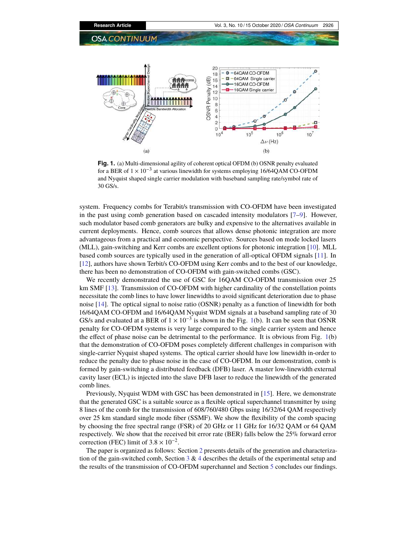

**Fig. 1.** (a) Multi-dimensional agility of coherent optical OFDM (b) OSNR penalty evaluated for a BER of  $1 \times 10^{-3}$  at various linewidth for systems employing 16/64QAM CO-OFDM and Nyquist shaped single carrier modulation with baseband sampling rate/symbol rate of 30 GS/s.

system. Frequency combs for Terabit/s transmission with CO-OFDM have been investigated in the past using comb generation based on cascaded intensity modulators [7–9]. However, such modulator based comb generators are bulky and expensive to the alternatives available in current deployments. Hence, comb sources that allows dense photonic integration are more advantageous from a practical and economic perspective. Sources based on mode locked lasers (MLL), gain-switching and Kerr combs are excellent options for photonic integration [10]. MLL based comb sources are typically used in the generation of all-optical OFDM signals [11]. In [12], authors have shown Terbit/s CO-OFDM using Kerr combs and to the best of our knowledge, there has been no demonstration of CO-OFDM with gain-switched combs (GSC).

We recently demonstrated the use of GSC for 16QAM CO-OFDM transmission over 25 km SMF [13]. Transmission of CO-OFDM with higher cardinality of the constellation points necessitate the comb lines to have lower linewidths to avoid significant deterioration due to phase noise [14]. The optical signal to noise ratio (OSNR) penalty as a function of linewidth for both 16/64QAM CO-OFDM and 16/64QAM Nyquist WDM signals at a baseband sampling rate of 30 GS/s and evaluated at a BER of  $1 \times 10^{-3}$  is shown in the Fig. 1(b). It can be seen that OSNR penalty for CO-OFDM systems is very large compared to the single carrier system and hence the effect of phase noise can be detrimental to the performance. It is obvious from Fig. 1(b) that the demonstration of CO-OFDM poses completely different challenges in comparison with single-carrier Nyquist shaped systems. The optical carrier should have low linewidth in-order to reduce the penalty due to phase noise in the case of CO-OFDM. In our demonstration, comb is formed by gain-switching a distributed feedback (DFB) laser. A master low-linewidth external cavity laser (ECL) is injected into the slave DFB laser to reduce the linewidth of the generated comb lines.

Previously, Nyquist WDM with GSC has been demonstrated in [15]. Here, we demonstrate that the generated GSC is a suitable source as a flexible optical superchannel transmitter by using 8 lines of the comb for the transmission of 608/760/480 Gbps using 16/32/64 QAM respectively over 25 km standard single mode fiber (SSMF). We show the flexibility of the comb spacing by choosing the free spectral range (FSR) of 20 GHz or 11 GHz for 16/32 QAM or 64 QAM respectively. We show that the received bit error rate (BER) falls below the 25% forward error correction (FEC) limit of  $3.8 \times 10^{-2}$ .

The paper is organized as follows: Section 2 presents details of the generation and characterization of the gain-switched comb, Section  $3 \& 4$  describes the details of the experimental setup and the results of the transmission of CO-OFDM superchannel and Section 5 concludes our findings.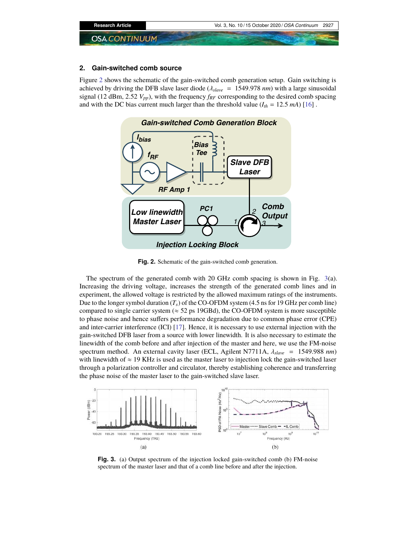

## **2. Gain-switched comb source**

Figure 2 shows the schematic of the gain-switched comb generation setup. Gain switching is achieved by driving the DFB slave laser diode (λ*slave* = 1549.978 *nm*) with a large sinusoidal signal (12 dBm, 2.52  $V_{pp}$ ), with the frequency  $f_{RF}$  corresponding to the desired comb spacing and with the DC bias current much larger than the threshold value  $(I_{th} = 12.5 \text{ mA})$  [16].



**Fig. 2.** Schematic of the gain-switched comb generation.

The spectrum of the generated comb with 20 GHz comb spacing is shown in Fig. 3(a). Increasing the driving voltage, increases the strength of the generated comb lines and in experiment, the allowed voltage is restricted by the allowed maximum ratings of the instruments. Due to the longer symbol duration  $(T_s)$  of the CO-OFDM system (4.5 ns for 19 GHz per comb line) compared to single carrier system ( $\approx$  52 ps 19GBd), the CO-OFDM system is more susceptible to phase noise and hence suffers performance degradation due to common phase error (CPE) and inter-carrier interference (ICI) [17]. Hence, it is necessary to use external injection with the gain-switched DFB laser from a source with lower linewidth. It is also necessary to estimate the linewidth of the comb before and after injection of the master and here, we use the FM-noise spectrum method. An external cavity laser (ECL, Agilent N7711A, λ*slave* = 1549.988 *nm*) with linewidth of  $\approx$  19 KHz is used as the master laser to injection lock the gain-switched laser through a polarization controller and circulator, thereby establishing coherence and transferring the phase noise of the master laser to the gain-switched slave laser.



**Fig. 3.** (a) Output spectrum of the injection locked gain-switched comb (b) FM-noise spectrum of the master laser and that of a comb line before and after the injection.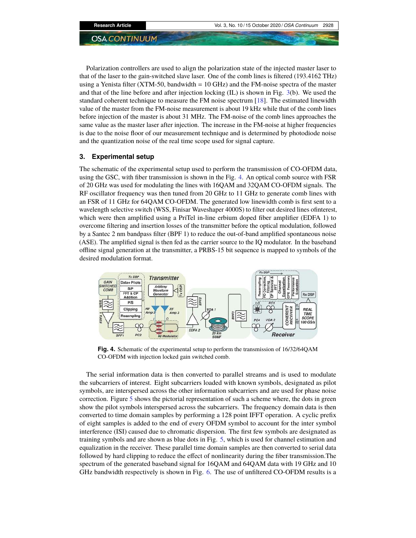Polarization controllers are used to align the polarization state of the injected master laser to that of the laser to the gain-switched slave laser. One of the comb lines is filtered (193.4162 THz) using a Yenista filter (XTM-50, bandwidth  $= 10$  GHz) and the FM-noise spectra of the master and that of the line before and after injection locking (IL) is shown in Fig. 3(b). We used the standard coherent technique to measure the FM noise spectrum [18]. The estimated linewidth value of the master from the FM-noise measurement is about 19 kHz while that of the comb lines before injection of the master is about 31 MHz. The FM-noise of the comb lines approaches the same value as the master laser after injection. The increase in the FM-noise at higher frequencies is due to the noise floor of our measurement technique and is determined by photodiode noise and the quantization noise of the real time scope used for signal capture.

### **3. Experimental setup**

The schematic of the experimental setup used to perform the transmission of CO-OFDM data, using the GSC, with fiber transmission is shown in the Fig. 4. An optical comb source with FSR of 20 GHz was used for modulating the lines with 16QAM and 32QAM CO-OFDM signals. The RF oscillator frequency was then tuned from 20 GHz to 11 GHz to generate comb lines with an FSR of 11 GHz for 64QAM CO-OFDM. The generated low linewidth comb is first sent to a wavelength selective switch (WSS, Finisar Waveshaper 4000S) to filter out desired lines ofinterest, which were then amplified using a PriTel in-line erbium doped fiber amplifier (EDFA 1) to overcome filtering and insertion losses of the transmitter before the optical modulation, followed by a Santec 2 nm bandpass filter (BPF 1) to reduce the out-of-band amplified spontaneous noise (ASE). The amplified signal is then fed as the carrier source to the IQ modulator. In the baseband offline signal generation at the transmitter, a PRBS-15 bit sequence is mapped to symbols of the desired modulation format.



**Fig. 4.** Schematic of the experimental setup to perform the transmission of 16/32/64QAM CO-OFDM with injection locked gain switched comb.

The serial information data is then converted to parallel streams and is used to modulate the subcarriers of interest. Eight subcarriers loaded with known symbols, designated as pilot symbols, are interspersed across the other information subcarriers and are used for phase noise correction. Figure 5 shows the pictorial representation of such a scheme where, the dots in green show the pilot symbols interspersed across the subcarriers. The frequency domain data is then converted to time domain samples by performing a 128 point IFFT operation. A cyclic prefix of eight samples is added to the end of every OFDM symbol to account for the inter symbol interference (ISI) caused due to chromatic dispersion. The first few symbols are designated as training symbols and are shown as blue dots in Fig. 5, which is used for channel estimation and equalization in the receiver. These parallel time domain samples are then converted to serial data followed by hard clipping to reduce the effect of nonlinearity during the fiber transmission.The spectrum of the generated baseband signal for 16QAM and 64QAM data with 19 GHz and 10 GHz bandwidth respectively is shown in Fig. 6. The use of unfiltered CO-OFDM results is a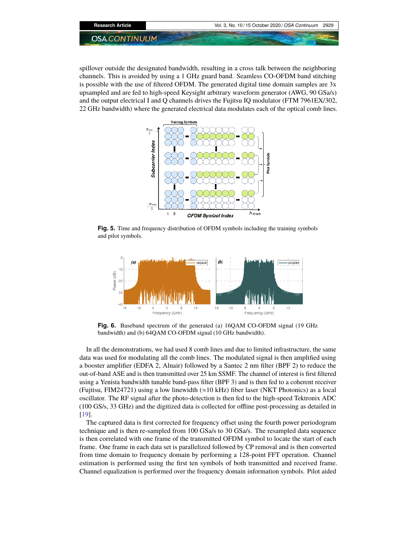

spillover outside the designated bandwidth, resulting in a cross talk between the neighboring channels. This is avoided by using a 1 GHz guard band. Seamless CO-OFDM band stitching is possible with the use of filtered OFDM. The generated digital time domain samples are 3x upsampled and are fed to high-speed Keysight arbitrary waveform generator (AWG, 90 GSa/s) and the output electrical I and Q channels drives the Fujitsu IQ modulator (FTM 7961EX/302, 22 GHz bandwidth) where the generated electrical data modulates each of the optical comb lines.



**Fig. 5.** Time and frequency distribution of OFDM symbols including the training symbols and pilot symbols.



**Fig. 6.** Baseband spectrum of the generated (a) 16QAM CO-OFDM signal (19 GHz bandwidth) and (b) 64QAM CO-OFDM signal (10 GHz bandwidth).

In all the demonstrations, we had used 8 comb lines and due to limited infrastructure, the same data was used for modulating all the comb lines. The modulated signal is then amplified using a booster amplifier (EDFA 2, Alnair) followed by a Santec 2 nm filter (BPF 2) to reduce the out-of-band ASE and is then transmitted over 25 km SSMF. The channel of interest is first filtered using a Yenista bandwidth tunable band-pass filter (BPF 3) and is then fed to a coherent receiver (Fujitsu, FIM24721) using a low linewidth (≈10 kHz) fiber laser (NKT Photonics) as a local oscillator. The RF signal after the photo-detection is then fed to the high-speed Tektronix ADC (100 GS/s, 33 GHz) and the digitized data is collected for offline post-processing as detailed in [19].

The captured data is first corrected for frequency offset using the fourth power periodogram technique and is then re-sampled from 100 GSa/s to 30 GSa/s. The resampled data sequence is then correlated with one frame of the transmitted OFDM symbol to locate the start of each frame. One frame in each data set is parallelized followed by CP removal and is then converted from time domain to frequency domain by performing a 128-point FFT operation. Channel estimation is performed using the first ten symbols of both transmitted and received frame. Channel equalization is performed over the frequency domain information symbols. Pilot aided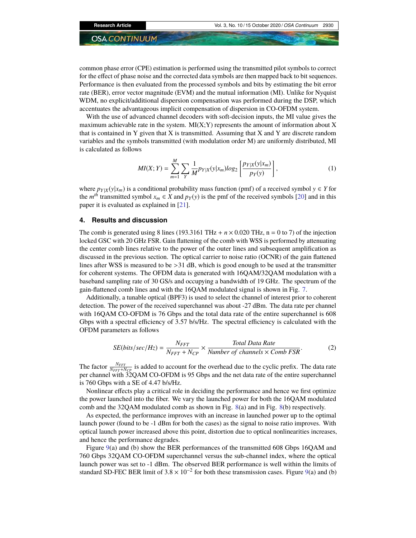common phase error (CPE) estimation is performed using the transmitted pilot symbols to correct for the effect of phase noise and the corrected data symbols are then mapped back to bit sequences. Performance is then evaluated from the processed symbols and bits by estimating the bit error rate (BER), error vector magnitude (EVM) and the mutual information (MI). Unlike for Nyquist WDM, no explicit/additional dispersion compensation was performed during the DSP, which accentuates the advantageous implicit compensation of dispersion in CO-OFDM system.

With the use of advanced channel decoders with soft-decision inputs, the MI value gives the maximum achievable rate in the system.  $M I(X;Y)$  represents the amount of information about X that is contained in Y given that X is transmitted. Assuming that X and Y are discrete random variables and the symbols transmitted (with modulation order M) are uniformly distributed, MI is calculated as follows

$$
MI(X;Y) = \sum_{m=1}^{M} \sum_{Y} \frac{1}{M} p_{Y|X}(y|x_m) \log_2 \left[ \frac{p_{Y|X}(y|x_m)}{p_Y(y)} \right],
$$
 (1)

where  $p_{Y|X}(y|x_m)$  is a conditional probability mass function (pmf) of a received symbol  $y \in Y$  for the  $m<sup>th</sup>$  transmitted symbol  $x_m \in X$  and  $p_Y(y)$  is the pmf of the received symbols [20] and in this paper it is evaluated as explained in [21].

#### **4. Results and discussion**

The comb is generated using 8 lines (193.3161 THz +  $n \times 0.020$  THz, n = 0 to 7) of the injection locked GSC with 20 GHz FSR. Gain flattening of the comb with WSS is performed by attenuating the center comb lines relative to the power of the outer lines and subsequent amplification as discussed in the previous section. The optical carrier to noise ratio (OCNR) of the gain flattened lines after WSS is measured to be >31 dB, which is good enough to be used at the transmitter for coherent systems. The OFDM data is generated with 16QAM/32QAM modulation with a baseband sampling rate of 30 GS/s and occupying a bandwidth of 19 GHz. The spectrum of the gain-flattened comb lines and with the 16QAM modulated signal is shown in Fig. 7.

Additionally, a tunable optical (BPF3) is used to select the channel of interest prior to coherent detection. The power of the received superchannel was about -27 dBm. The data rate per channel with 16QAM CO-OFDM is 76 Gbps and the total data rate of the entire superchannel is 608 Gbps with a spectral efficiency of 3.57 b/s/Hz. The spectral efficiency is calculated with the OFDM parameters as follows

$$
SE(bits/sec/Hz) = \frac{N_{FFT}}{N_{FFT} + N_{CP}} \times \frac{Total Data Rate}{Number of channels \times Comb FSR}.
$$
 (2)

The factor  $\frac{N_{FFT}}{N_{FFT}+N_{CP}}$  is added to account for the overhead due to the cyclic prefix. The data rate per channel with 32QAM CO-OFDM is 95 Gbps and the net data rate of the entire superchannel is 760 Gbps with a SE of 4.47 b/s/Hz.

Nonlinear effects play a critical role in deciding the performance and hence we first optimize the power launched into the fiber. We vary the launched power for both the 16QAM modulated comb and the 32QAM modulated comb as shown in Fig. 8(a) and in Fig. 8(b) respectively.

As expected, the performance improves with an increase in launched power up to the optimal launch power (found to be -1 dBm for both the cases) as the signal to noise ratio improves. With optical launch power increased above this point, distortion due to optical nonlinearities increases, and hence the performance degrades.

Figure 9(a) and (b) show the BER performances of the transmitted 608 Gbps 16QAM and 760 Gbps 32QAM CO-OFDM superchannel versus the sub-channel index, where the optical launch power was set to -1 dBm. The observed BER performance is well within the limits of standard SD-FEC BER limit of  $3.8 \times 10^{-2}$  for both these transmission cases. Figure 9(a) and (b)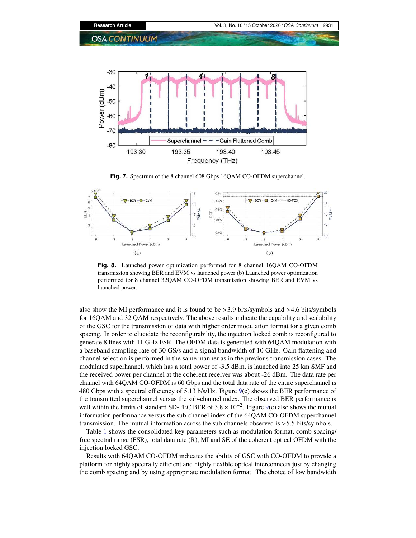

**Fig. 7.** Spectrum of the 8 channel 608 Gbps 16QAM CO-OFDM superchannel.



**Fig. 8.** Launched power optimization performed for 8 channel 16QAM CO-OFDM transmission showing BER and EVM vs launched power (b) Launched power optimization performed for 8 channel 32QAM CO-OFDM transmission showing BER and EVM vs launched power.

also show the MI performance and it is found to be >3.9 bits/symbols and >4.6 bits/symbols for 16QAM and 32 QAM respectively. The above results indicate the capability and scalability of the GSC for the transmission of data with higher order modulation format for a given comb spacing. In order to elucidate the reconfigurability, the injection locked comb is reconfigured to generate 8 lines with 11 GHz FSR. The OFDM data is generated with 64QAM modulation with a baseband sampling rate of 30 GS/s and a signal bandwidth of 10 GHz. Gain flattening and channel selection is performed in the same manner as in the previous transmission cases. The modulated superhannel, which has a total power of -3.5 dBm, is launched into 25 km SMF and the received power per channel at the coherent receiver was about -26 dBm. The data rate per channel with 64QAM CO-OFDM is 60 Gbps and the total data rate of the entire superchannel is 480 Gbps with a spectral efficiency of 5.13 b/s/Hz. Figure 9(c) shows the BER performance of the transmitted superchannel versus the sub-channel index. The observed BER performance is well within the limits of standard SD-FEC BER of  $3.8 \times 10^{-2}$ . Figure 9(c) also shows the mutual information performance versus the sub-channel index of the 64QAM CO-OFDM superchannel transmission. The mutual information across the sub-channels observed is >5.5 bits/symbols.

Table 1 shows the consolidated key parameters such as modulation format, comb spacing/ free spectral range (FSR), total data rate (R), MI and SE of the coherent optical OFDM with the injection locked GSC.

Results with 64QAM CO-OFDM indicates the ability of GSC with CO-OFDM to provide a platform for highly spectrally efficient and highly flexible optical interconnects just by changing the comb spacing and by using appropriate modulation format. The choice of low bandwidth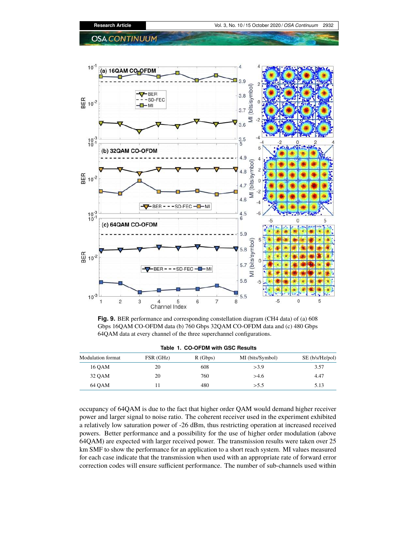

**Fig. 9.** BER performance and corresponding constellation diagram (CH4 data) of (a) 608 Gbps 16QAM CO-OFDM data (b) 760 Gbps 32QAM CO-OFDM data and (c) 480 Gbps 64QAM data at every channel of the three superchannel configurations.

| Table 1. CO-OFDM with GSC Results |           |         |                  |                 |
|-----------------------------------|-----------|---------|------------------|-----------------|
| Modulation format                 | FSR (GHz) | R(Gbps) | MI (bits/Symbol) | SE (b/s/Hz/pol) |
| 16 OAM                            | 20        | 608     | >3.9             | 3.57            |
| 32 OAM                            | 20        | 760     | >4.6             | 4.47            |
| 64 OAM                            |           | 480     | > 5.5            | 5.13            |

occupancy of 64QAM is due to the fact that higher order QAM would demand higher receiver power and larger signal to noise ratio. The coherent receiver used in the experiment exhibited a relatively low saturation power of -26 dBm, thus restricting operation at increased received powers. Better performance and a possibility for the use of higher order modulation (above 64QAM) are expected with larger received power. The transmission results were taken over 25 km SMF to show the performance for an application to a short reach system. MI values measured for each case indicate that the transmission when used with an appropriate rate of forward error correction codes will ensure sufficient performance. The number of sub-channels used within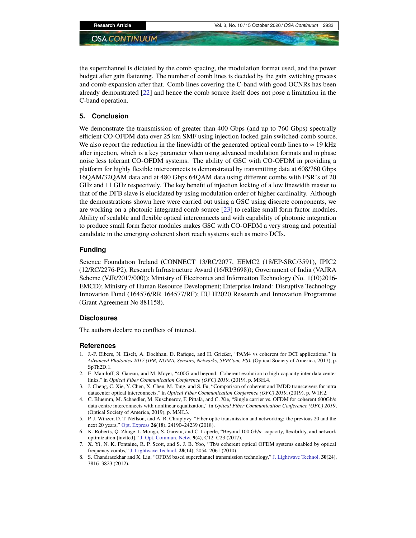the superchannel is dictated by the comb spacing, the modulation format used, and the power budget after gain flattening. The number of comb lines is decided by the gain switching process and comb expansion after that. Comb lines covering the C-band with good OCNRs has been already demonstrated [22] and hence the comb source itself does not pose a limitation in the C-band operation.

### **5. Conclusion**

We demonstrate the transmission of greater than 400 Gbps (and up to 760 Gbps) spectrally efficient CO-OFDM data over 25 km SMF using injection locked gain switched-comb source. We also report the reduction in the linewidth of the generated optical comb lines to  $\approx 19$  kHz after injection, which is a key parameter when using advanced modulation formats and in phase noise less tolerant CO-OFDM systems. The ability of GSC with CO-OFDM in providing a platform for highly flexible interconnects is demonstrated by transmitting data at 608/760 Gbps 16QAM/32QAM data and at 480 Gbps 64QAM data using different combs with FSR's of 20 GHz and 11 GHz respectively. The key benefit of injection locking of a low linewidth master to that of the DFB slave is elucidated by using modulation order of higher cardinality. Although the demonstrations shown here were carried out using a GSC using discrete components, we are working on a photonic integrated comb source [23] to realize small form factor modules. Ability of scalable and flexible optical interconnects and with capability of photonic integration to produce small form factor modules makes GSC with CO-OFDM a very strong and potential candidate in the emerging coherent short reach systems such as metro DCIs.

# **Funding**

Science Foundation Ireland (CONNECT 13/RC/2077, EEMC2 (18/EP-SRC/3591), IPIC2 (12/RC/2276-P2), Research Infrastructure Award (16/RI/3698)); Government of India (VAJRA Scheme (VJR/2017/000)); Ministry of Electronics and Information Technology (No. 1(10)2016- EMCD); Ministry of Human Resource Development; Enterprise Ireland: Disruptive Technology Innovation Fund (164576/RR 164577/RF); EU H2020 Research and Innovation Programme (Grant Agreement No 881158).

#### **Disclosures**

The authors declare no conflicts of interest.

#### **References**

- 1. J.-P. Elbers, N. Eiselt, A. Dochhan, D. Rafique, and H. Grießer, "PAM4 vs coherent for DCI applications," in *Advanced Photonics 2017 (IPR, NOMA, Sensors, Networks, SPPCom, PS)*, (Optical Society of America, 2017), p. SpTh2D.1.
- 2. E. Maniloff, S. Gareau, and M. Moyer, "400G and beyond: Coherent evolution to high-capacity inter data center links," in *Optical Fiber Communication Conference (OFC) 2019*, (2019), p. M3H.4.
- 3. J. Cheng, C. Xie, Y. Chen, X. Chen, M. Tang, and S. Fu, "Comparison of coherent and IMDD transceivers for intra datacenter optical interconnects," in *Optical Fiber Communication Conference (OFC) 2019*, (2019), p. W1F.2.
- 4. C. Bluemm, M. Schaedler, M. Kuschnerov, F. Pittalà, and C. Xie, "Single carrier vs. OFDM for coherent 600Gb/s data centre interconnects with nonlinear equalization," in *Optical Fiber Communication Conference (OFC) 2019*, (Optical Society of America, 2019), p. M3H.3.
- 5. P. J. Winzer, D. T. Neilson, and A. R. Chraplyvy, "Fiber-optic transmission and networking: the previous 20 and the next 20 years," Opt. Express **26**(18), 24190–24239 (2018).
- 6. K. Roberts, Q. Zhuge, I. Monga, S. Gareau, and C. Laperle, "Beyond 100 Gb/s: capacity, flexibility, and network optimization [invited]," J. Opt. Commun. Netw. **9**(4), C12–C23 (2017).
- 7. X. Yi, N. K. Fontaine, R. P. Scott, and S. J. B. Yoo, "Tb/s coherent optical OFDM systems enabled by optical frequency combs," J. Lightwave Technol. **28**(14), 2054–2061 (2010).
- 8. S. Chandrasekhar and X. Liu, "OFDM based superchannel transmission technology," J. Lightwave Technol. **30**(24), 3816–3823 (2012).